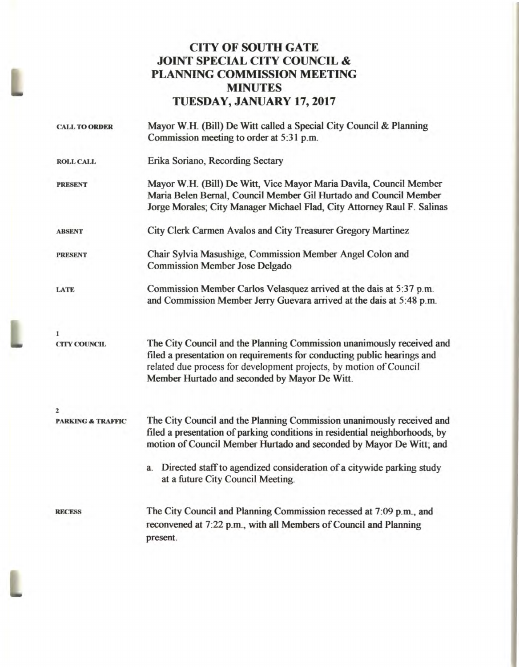## **CITY OF SOUTH GATE JOINT SPECIAL CITY COUNCIL & PLANNING COMMISSION MEETING MINUTES TUESDAY, JANUARY 17, 2017**

| <b>CALL TO ORDER</b>         | Mayor W.H. (Bill) De Witt called a Special City Council & Planning<br>Commission meeting to order at 5:31 p.m.                                                                                                                                                          |
|------------------------------|-------------------------------------------------------------------------------------------------------------------------------------------------------------------------------------------------------------------------------------------------------------------------|
| <b>ROLL CALL</b>             | Erika Soriano, Recording Sectary                                                                                                                                                                                                                                        |
| <b>PRESENT</b>               | Mayor W.H. (Bill) De Witt, Vice Mayor Maria Davila, Council Member<br>Maria Belen Bernal, Council Member Gil Hurtado and Council Member<br>Jorge Morales; City Manager Michael Flad, City Attorney Raul F. Salinas                                                      |
| <b>ABSENT</b>                | City Clerk Carmen Avalos and City Treasurer Gregory Martinez                                                                                                                                                                                                            |
| <b>PRESENT</b>               | Chair Sylvia Masushige, Commission Member Angel Colon and<br><b>Commission Member Jose Delgado</b>                                                                                                                                                                      |
| LATE                         | Commission Member Carlos Velasquez arrived at the dais at 5:37 p.m.<br>and Commission Member Jerry Guevara arrived at the dais at 5:48 p.m.                                                                                                                             |
| 1                            |                                                                                                                                                                                                                                                                         |
| <b>CITY COUNCIL</b>          | The City Council and the Planning Commission unanimously received and<br>filed a presentation on requirements for conducting public hearings and<br>related due process for development projects, by motion of Council<br>Member Hurtado and seconded by Mayor De Witt. |
| $\overline{2}$               |                                                                                                                                                                                                                                                                         |
| <b>PARKING &amp; TRAFFIC</b> | The City Council and the Planning Commission unanimously received and<br>filed a presentation of parking conditions in residential neighborhoods, by<br>motion of Council Member Hurtado and seconded by Mayor De Witt; and                                             |
|                              | Directed staff to agendized consideration of a citywide parking study<br>a.<br>at a future City Council Meeting.                                                                                                                                                        |
| <b>RECESS</b>                | The City Council and Planning Commission recessed at 7:09 p.m., and<br>reconvened at 7:22 p.m., with all Members of Council and Planning<br>present.                                                                                                                    |